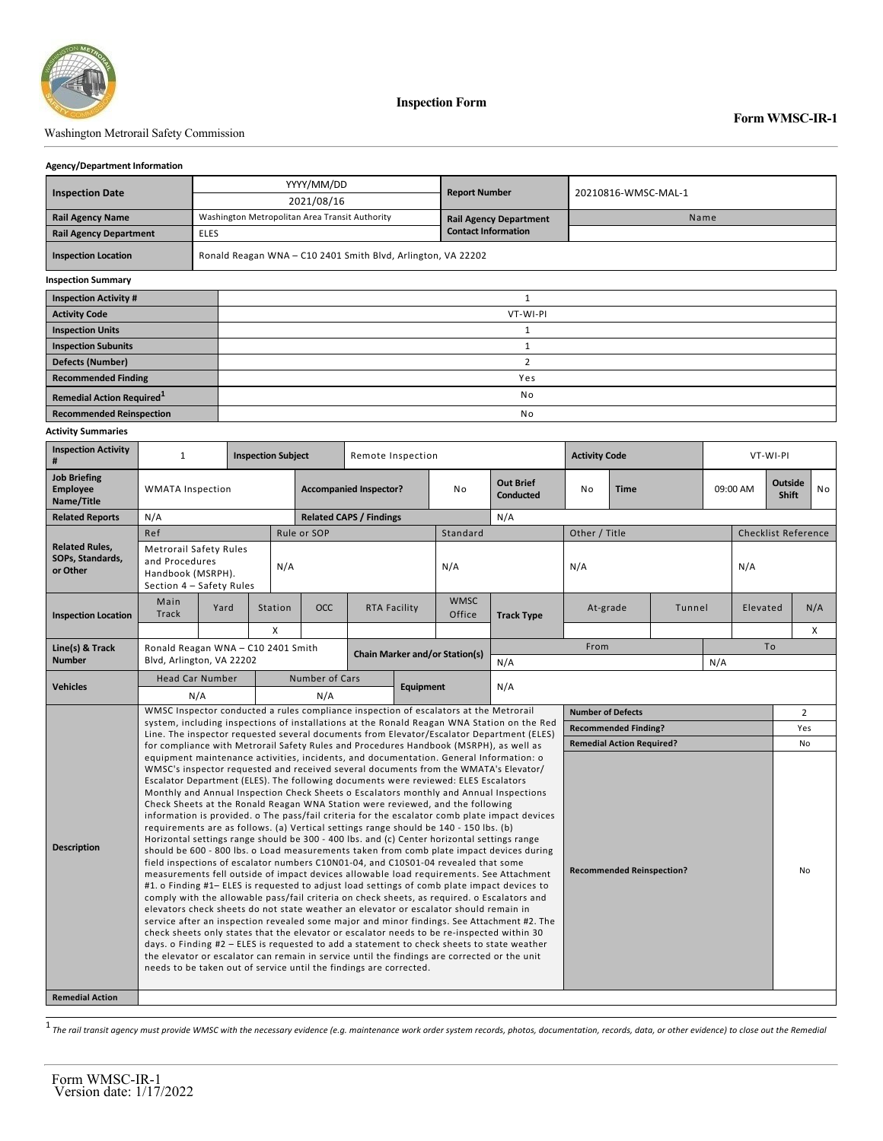

### Washington Metrorail Safety Commission

#### **Agency/Department Information**

| <b>Inspection Date</b>        |             | YYYY/MM/DD                                                   | <b>Report Number</b>          | 20210816-WMSC-MAL-1 |  |  |  |  |
|-------------------------------|-------------|--------------------------------------------------------------|-------------------------------|---------------------|--|--|--|--|
|                               |             | 2021/08/16                                                   |                               |                     |  |  |  |  |
| <b>Rail Agency Name</b>       |             | Washington Metropolitan Area Transit Authority               | <b>Rail Agency Department</b> | Name                |  |  |  |  |
| <b>Rail Agency Department</b> | <b>ELES</b> |                                                              | <b>Contact Information</b>    |                     |  |  |  |  |
| <b>Inspection Location</b>    |             | Ronald Reagan WNA - C10 2401 Smith Blvd, Arlington, VA 22202 |                               |                     |  |  |  |  |
| <b>Inspection Summary</b>     |             |                                                              |                               |                     |  |  |  |  |
| <b>Inspection Activity #</b>  |             |                                                              |                               |                     |  |  |  |  |
| <b>Activity Code</b>          |             | VT-WI-PI                                                     |                               |                     |  |  |  |  |
| <b>Inspection Units</b>       |             |                                                              |                               |                     |  |  |  |  |
| <b>Inspection Subunits</b>    |             |                                                              |                               |                     |  |  |  |  |
| <b>Defects (Number)</b>       |             |                                                              |                               |                     |  |  |  |  |
| <b>Recommended Finding</b>    |             | Yes                                                          |                               |                     |  |  |  |  |

**Remedial Action Required**<sup>1</sup> and **1** No **Recommended Reinspection** No

#### **Activity Summaries**

| <b>Inspection Activity</b><br>#                       | $\mathbf{1}$<br><b>Inspection Subject</b>                                                                                                                                                                                                                                                                                                                                                                                                                                                                                                                                                                                                                                                                                                                                                                                                                                                                                                                                                                                                                                                                                                                                                                                                                                                                                                                                                                                                                                                                                                                                                                                                                                                                                                                                                                          |      |         | Remote Inspection                         |                                |              |                       | <b>Activity Code</b>                 |                   |                                            | VT-WI-PI |     |                                     |  |                            |  |  |
|-------------------------------------------------------|--------------------------------------------------------------------------------------------------------------------------------------------------------------------------------------------------------------------------------------------------------------------------------------------------------------------------------------------------------------------------------------------------------------------------------------------------------------------------------------------------------------------------------------------------------------------------------------------------------------------------------------------------------------------------------------------------------------------------------------------------------------------------------------------------------------------------------------------------------------------------------------------------------------------------------------------------------------------------------------------------------------------------------------------------------------------------------------------------------------------------------------------------------------------------------------------------------------------------------------------------------------------------------------------------------------------------------------------------------------------------------------------------------------------------------------------------------------------------------------------------------------------------------------------------------------------------------------------------------------------------------------------------------------------------------------------------------------------------------------------------------------------------------------------------------------------|------|---------|-------------------------------------------|--------------------------------|--------------|-----------------------|--------------------------------------|-------------------|--------------------------------------------|----------|-----|-------------------------------------|--|----------------------------|--|--|
| <b>Job Briefing</b><br><b>Employee</b><br>Name/Title  | <b>WMATA Inspection</b>                                                                                                                                                                                                                                                                                                                                                                                                                                                                                                                                                                                                                                                                                                                                                                                                                                                                                                                                                                                                                                                                                                                                                                                                                                                                                                                                                                                                                                                                                                                                                                                                                                                                                                                                                                                            |      |         | <b>Accompanied Inspector?</b>             |                                |              | N <sub>0</sub>        | <b>Out Brief</b><br><b>Conducted</b> | <b>Time</b><br>No |                                            |          |     | Outside<br>09:00 AM<br><b>Shift</b> |  | No                         |  |  |
| <b>Related Reports</b>                                | N/A                                                                                                                                                                                                                                                                                                                                                                                                                                                                                                                                                                                                                                                                                                                                                                                                                                                                                                                                                                                                                                                                                                                                                                                                                                                                                                                                                                                                                                                                                                                                                                                                                                                                                                                                                                                                                |      |         |                                           | <b>Related CAPS / Findings</b> |              |                       | N/A                                  |                   |                                            |          |     |                                     |  |                            |  |  |
|                                                       | Ref                                                                                                                                                                                                                                                                                                                                                                                                                                                                                                                                                                                                                                                                                                                                                                                                                                                                                                                                                                                                                                                                                                                                                                                                                                                                                                                                                                                                                                                                                                                                                                                                                                                                                                                                                                                                                |      |         | Rule or SOP                               |                                |              | Standard              |                                      | Other / Title     |                                            |          |     |                                     |  | <b>Checklist Reference</b> |  |  |
| <b>Related Rules,</b><br>SOPs, Standards,<br>or Other | <b>Metrorail Safety Rules</b><br>and Procedures<br>Handbook (MSRPH).<br>Section 4 - Safety Rules                                                                                                                                                                                                                                                                                                                                                                                                                                                                                                                                                                                                                                                                                                                                                                                                                                                                                                                                                                                                                                                                                                                                                                                                                                                                                                                                                                                                                                                                                                                                                                                                                                                                                                                   | N/A  |         |                                           |                                | N/A          |                       | N/A                                  |                   |                                            |          | N/A |                                     |  |                            |  |  |
| <b>Inspection Location</b>                            | Main<br><b>Track</b>                                                                                                                                                                                                                                                                                                                                                                                                                                                                                                                                                                                                                                                                                                                                                                                                                                                                                                                                                                                                                                                                                                                                                                                                                                                                                                                                                                                                                                                                                                                                                                                                                                                                                                                                                                                               | Yard | Station | <b>OCC</b>                                |                                | RTA Facility | <b>WMSC</b><br>Office | <b>Track Type</b>                    | At-grade          |                                            | Tunnel   |     | Elevated                            |  | N/A                        |  |  |
|                                                       |                                                                                                                                                                                                                                                                                                                                                                                                                                                                                                                                                                                                                                                                                                                                                                                                                                                                                                                                                                                                                                                                                                                                                                                                                                                                                                                                                                                                                                                                                                                                                                                                                                                                                                                                                                                                                    |      | X       |                                           |                                |              |                       |                                      |                   |                                            |          |     |                                     |  | X                          |  |  |
| Line(s) & Track<br><b>Number</b>                      | Ronald Reagan WNA - C10 2401 Smith<br>Blvd, Arlington, VA 22202                                                                                                                                                                                                                                                                                                                                                                                                                                                                                                                                                                                                                                                                                                                                                                                                                                                                                                                                                                                                                                                                                                                                                                                                                                                                                                                                                                                                                                                                                                                                                                                                                                                                                                                                                    |      |         | <b>Chain Marker and/or Station(s)</b>     |                                |              |                       |                                      | From              |                                            |          |     | To                                  |  |                            |  |  |
|                                                       |                                                                                                                                                                                                                                                                                                                                                                                                                                                                                                                                                                                                                                                                                                                                                                                                                                                                                                                                                                                                                                                                                                                                                                                                                                                                                                                                                                                                                                                                                                                                                                                                                                                                                                                                                                                                                    |      |         |                                           |                                |              |                       | N/A                                  |                   |                                            |          | N/A |                                     |  |                            |  |  |
| <b>Vehicles</b>                                       | <b>Head Car Number</b><br>N/A                                                                                                                                                                                                                                                                                                                                                                                                                                                                                                                                                                                                                                                                                                                                                                                                                                                                                                                                                                                                                                                                                                                                                                                                                                                                                                                                                                                                                                                                                                                                                                                                                                                                                                                                                                                      |      |         | Number of Cars<br><b>Equipment</b><br>N/A |                                |              |                       | N/A                                  |                   |                                            |          |     |                                     |  |                            |  |  |
|                                                       | WMSC Inspector conducted a rules compliance inspection of escalators at the Metrorail                                                                                                                                                                                                                                                                                                                                                                                                                                                                                                                                                                                                                                                                                                                                                                                                                                                                                                                                                                                                                                                                                                                                                                                                                                                                                                                                                                                                                                                                                                                                                                                                                                                                                                                              |      |         |                                           |                                |              |                       |                                      |                   | <b>Number of Defects</b><br>$\overline{2}$ |          |     |                                     |  |                            |  |  |
|                                                       | system, including inspections of installations at the Ronald Reagan WNA Station on the Red                                                                                                                                                                                                                                                                                                                                                                                                                                                                                                                                                                                                                                                                                                                                                                                                                                                                                                                                                                                                                                                                                                                                                                                                                                                                                                                                                                                                                                                                                                                                                                                                                                                                                                                         |      |         |                                           |                                |              |                       |                                      |                   | <b>Recommended Finding?</b>                |          |     |                                     |  | Yes                        |  |  |
|                                                       | Line. The inspector requested several documents from Elevator/Escalator Department (ELES)<br>for compliance with Metrorail Safety Rules and Procedures Handbook (MSRPH), as well as                                                                                                                                                                                                                                                                                                                                                                                                                                                                                                                                                                                                                                                                                                                                                                                                                                                                                                                                                                                                                                                                                                                                                                                                                                                                                                                                                                                                                                                                                                                                                                                                                                |      |         |                                           |                                |              |                       |                                      |                   | <b>Remedial Action Required?</b>           |          |     |                                     |  | No                         |  |  |
| <b>Description</b>                                    | equipment maintenance activities, incidents, and documentation. General Information: o<br>WMSC's inspector requested and received several documents from the WMATA's Elevator/<br>Escalator Department (ELES). The following documents were reviewed: ELES Escalators<br>Monthly and Annual Inspection Check Sheets o Escalators monthly and Annual Inspections<br>Check Sheets at the Ronald Reagan WNA Station were reviewed, and the following<br>information is provided. o The pass/fail criteria for the escalator comb plate impact devices<br>requirements are as follows. (a) Vertical settings range should be 140 - 150 lbs. (b)<br>Horizontal settings range should be 300 - 400 lbs. and (c) Center horizontal settings range<br>should be 600 - 800 lbs. o Load measurements taken from comb plate impact devices during<br>field inspections of escalator numbers C10N01-04, and C10S01-04 revealed that some<br><b>Recommended Reinspection?</b><br>measurements fell outside of impact devices allowable load requirements. See Attachment<br>#1. o Finding #1– ELES is requested to adjust load settings of comb plate impact devices to<br>comply with the allowable pass/fail criteria on check sheets, as required. o Escalators and<br>elevators check sheets do not state weather an elevator or escalator should remain in<br>service after an inspection revealed some major and minor findings. See Attachment #2. The<br>check sheets only states that the elevator or escalator needs to be re-inspected within 30<br>days. o Finding #2 - ELES is requested to add a statement to check sheets to state weather<br>the elevator or escalator can remain in service until the findings are corrected or the unit<br>needs to be taken out of service until the findings are corrected. |      |         |                                           |                                |              |                       |                                      | No                |                                            |          |     |                                     |  |                            |  |  |
| <b>Remedial Action</b>                                |                                                                                                                                                                                                                                                                                                                                                                                                                                                                                                                                                                                                                                                                                                                                                                                                                                                                                                                                                                                                                                                                                                                                                                                                                                                                                                                                                                                                                                                                                                                                                                                                                                                                                                                                                                                                                    |      |         |                                           |                                |              |                       |                                      |                   |                                            |          |     |                                     |  |                            |  |  |

1 *The rail transit agency must provide WMSC with the necessary evidence (e.g. maintenance work order system records, photos, documentation, records, data, or other evidence) to close out the Remedial*